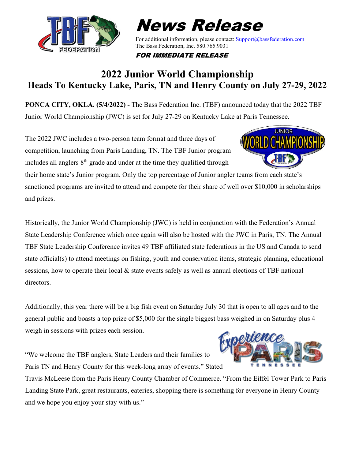

## News Release

For additional information, please contact[: Support@bassfederation.com](mailto:Support@bassfederation.com) The Bass Federation, Inc. 580.765.9031

FOR IMMEDIATE RELEASE

## **2022 Junior World Championship Heads To Kentucky Lake, Paris, TN and Henry County on July 27-29, 2022**

**PONCA CITY, OKLA. (5/4/2022) -** The Bass Federation Inc. (TBF) announced today that the 2022 TBF Junior World Championship (JWC) is set for July 27-29 on Kentucky Lake at Paris Tennessee.

The 2022 JWC includes a two-person team format and three days of competition, launching from Paris Landing, TN. The TBF Junior program includes all anglers  $8<sup>th</sup>$  grade and under at the time they qualified through



their home state's Junior program. Only the top percentage of Junior angler teams from each state's sanctioned programs are invited to attend and compete for their share of well over \$10,000 in scholarships and prizes.

Historically, the Junior World Championship (JWC) is held in conjunction with the Federation's Annual State Leadership Conference which once again will also be hosted with the JWC in Paris, TN. The Annual TBF State Leadership Conference invites 49 TBF affiliated state federations in the US and Canada to send state official(s) to attend meetings on fishing, youth and conservation items, strategic planning, educational sessions, how to operate their local & state events safely as well as annual elections of TBF national directors.

Additionally, this year there will be a big fish event on Saturday July 30 that is open to all ages and to the general public and boasts a top prize of \$5,000 for the single biggest bass weighed in on Saturday plus 4 weigh in sessions with prizes each session.

"We welcome the TBF anglers, State Leaders and their families to Paris TN and Henry County for this week-long array of events." Stated



Travis McLeese from the Paris Henry County Chamber of Commerce. "From the Eiffel Tower Park to Paris Landing State Park, great restaurants, eateries, shopping there is something for everyone in Henry County and we hope you enjoy your stay with us."